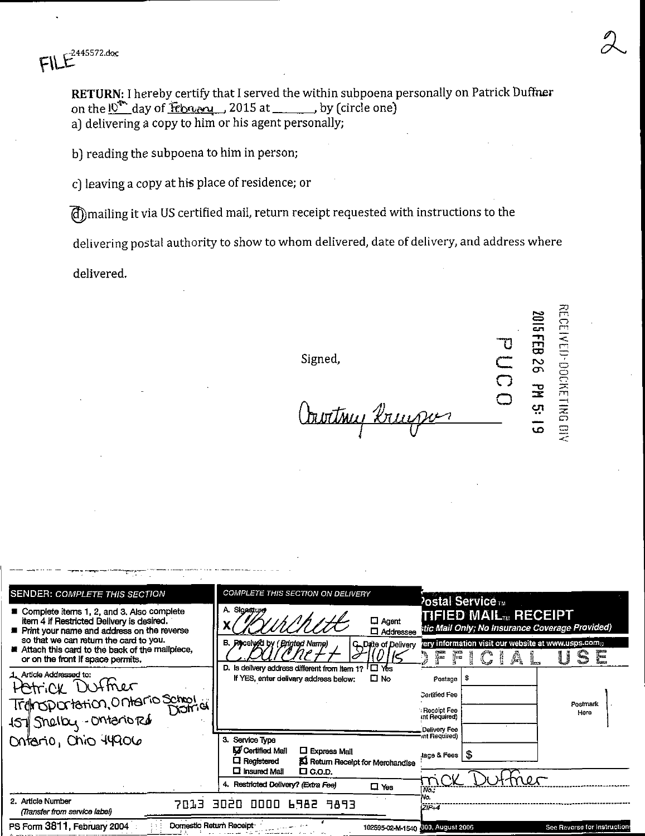445572.doc

RETURN: I hereby certify that I served the within subpoena personally on Patrick Duffner on the l<sup>ot</sup> day of february 2015 at \_\_\_\_\_\_, by (circle one) a) delivering a copy to him or his agent personally;

b) reading the subpoena to him in person;

c) leaving a copy at his place of residence; or

(d) mailing it via US certified mail, return receipt requested with instructions to the

delivering postal authority to show to whom delivered, date of delivery, and address where

delivered.

Signed,

<u> Vaortmy brugsv</u>

RECEIVED-DOCKETING DIV 2015 FEB 26 PM 5: 19

| <b>SENDER: COMPLETE THIS SECTION</b>                                                                                                                                                                                                                                    | COMPLETE THIS SECTION ON DELIVERY                                                                                                                      | <b>Postal Service</b> TM                                                                            |
|-------------------------------------------------------------------------------------------------------------------------------------------------------------------------------------------------------------------------------------------------------------------------|--------------------------------------------------------------------------------------------------------------------------------------------------------|-----------------------------------------------------------------------------------------------------|
| ■ Complete items 1, 2, and 3, Also complete<br>item 4 if Restricted Belivery is desired.<br>Print your name and address on the reverse<br>so that we can return the card to you.<br>Attach this card to the back of the mailpiece,<br>or on the front if space permits. | A. Signature<br>$\Box$ Agent<br>□ Addressee                                                                                                            | TIFIED MAIL RECEIPT<br>stic Mail Only; No Insurance Coverage Provided)                              |
|                                                                                                                                                                                                                                                                         | B. Received by (Printed Name)<br>C. Date of Delivery<br>D. Is delivery address different from item 1?<br>$\square$ Yes                                 | ery information visit our website at www.usps.como<br>i<br>Le<br>agaano<br>Spaan<br>Â<br><b>You</b> |
| 1. Article Addressed to:<br>Hetrick Duffner                                                                                                                                                                                                                             | $\square$ No<br>If YES, enter delivery address below:                                                                                                  | - \$<br>Postage                                                                                     |
| Transportation, Ontario School<br>157 Shelby - Ontario Rd                                                                                                                                                                                                               |                                                                                                                                                        | <b>Certified Fee</b><br>Postmark                                                                    |
|                                                                                                                                                                                                                                                                         |                                                                                                                                                        | Receipt Fee<br>Here<br>int Required)                                                                |
| Ontario, Chio 44906                                                                                                                                                                                                                                                     | 3. Service Type                                                                                                                                        | Delivery Fee<br>unt Required)                                                                       |
|                                                                                                                                                                                                                                                                         | <b>V</b> Certified Mail<br>$\Box$ Express Mall<br>$\Box$ Registered<br>KI Return Receipt for Merchandise<br>$\square$ Insured Mail<br>$\square$ C.O.D. | lage & Fees   S                                                                                     |
|                                                                                                                                                                                                                                                                         | 4. Restricted Delivery? (Extra Fee)<br>$\square$ Yes                                                                                                   | No.                                                                                                 |
| 2. Article Number<br>7013<br>(Transfer from service label)                                                                                                                                                                                                              | 3020<br>0000 6982 9893                                                                                                                                 | ۷o.<br>$ZIP-4$                                                                                      |
| Domestic Return Receipt<br>PS Form 3811, February 2004                                                                                                                                                                                                                  |                                                                                                                                                        | See Reverse for Instruction<br>102595-02-M-1540 600, August 2006                                    |